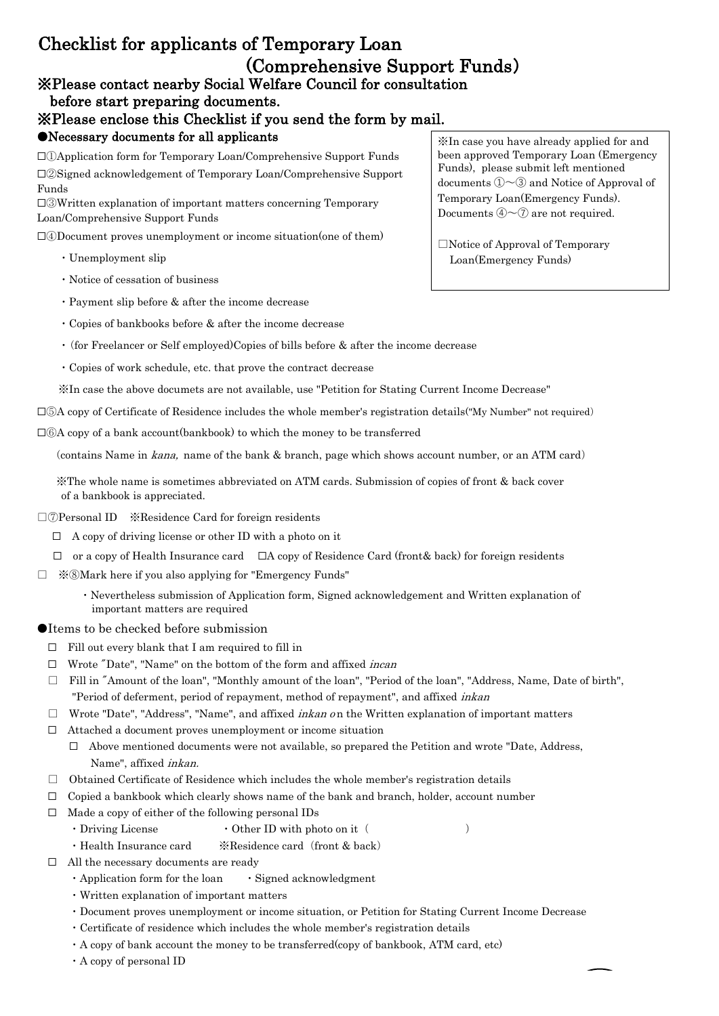## ※Please contact nearby Social Welfare Council for consultation Checklist for applicants of Temporary Loan (Comprehensive Support Funds)

## before start preparing documents.

※Please enclose this Checklist if you send the form by mail.

## ●Necessary documents for all applicants

□②Signed acknowledgement of Temporary Loan/Comprehensive Support Funds □①Application form for Temporary Loan/Comprehensive Support Funds

□③Written explanation of important matters concerning Temporary Loan/Comprehensive Support Funds

□④Document proves unemployment or income situation(one of them)

- ・Unemployment slip
- ・Notice of cessation of business
- ・Payment slip before & after the income decrease
- ・Copies of bankbooks before & after the income decrease
- ・(for Freelancer or Self employed)Copies of bills before & after the income decrease
- ・Copies of work schedule, etc. that prove the contract decrease

※In case the above documets are not available, use "Petition for Stating Current Income Decrease"

□⑤A copy of Certificate of Residence includes the whole member's registration details("My Number" not required)

□⑥A copy of a bank account(bankbook) to which the money to be transferred

(contains Name in kana, name of the bank & branch, page which shows account number, or an ATM card)

 ※The whole name is sometimes abbreviated on ATM cards. Submission of copies of front & back cover of a bankbook is appreciated.

- □⑦Personal ID ※Residence Card for foreign residents
	- $\Box$  A copy of driving license or other ID with a photo on it
	- $\Box$  or a copy of Health Insurance card  $\Box$  A copy of Residence Card (front & back) for foreign residents
- □ ※⑧Mark here if you also applying for "Emergency Funds"
	- ・Nevertheless submission of Application form, Signed acknowledgement and Written explanation of important matters are required

## ●Items to be checked before submission

- □ Fill out every blank that I am required to fill in
- $\Box$  Wrote "Date", "Name" on the bottom of the form and affixed *incan*
- □ Fill in "Amount of the loan", "Monthly amount of the loan", "Period of the loan", "Address, Name, Date of birth", "Period of deferment, period of repayment, method of repayment", and affixed *inkan*
- $\square$  Wrote "Date", "Address", "Name", and affixed *inkan on* the Written explanation of important matters
- □ Attached a document proves unemployment or income situation
	- Name", affixed inkan.  $\Box$  Above mentioned documents were not available, so prepared the Petition and wrote "Date, Address,
- $\Box$  Obtained Certificate of Residence which includes the whole member's registration details
- $\Box$  Copied a bankbook which clearly shows name of the bank and branch, holder, account number
- $\Box$  Made a copy of either of the following personal IDs
	- $\cdot$  Driving License  $\cdot$  Other ID with photo on it (  $\cdot$
	- ・Health Insurance card ※Residence card(front & back)
- □ All the necessary documents are ready
	- ・Application form for the loan ・Signed acknowledgment
	- ・Written explanation of important matters
	- ・Document proves unemployment or income situation, or Petition for Stating Current Income Decrease
	- ・Certificate of residence which includes the whole member's registration details
	- ・A copy of bank account the money to be transferred(copy of bankbook, ATM card, etc)
	- ・A copy of personal ID

※In case you have already applied for and been approved Temporary Loan (Emergency Funds), please submit left mentioned documents  $\mathbb{O} \sim 3$  and Notice of Approval of Temporary Loan(Emergency Funds). Documents  $\mathcal{D} \sim \mathcal{D}$  are not required.

□Notice of Approval of Temporary Loan(Emergency Funds)